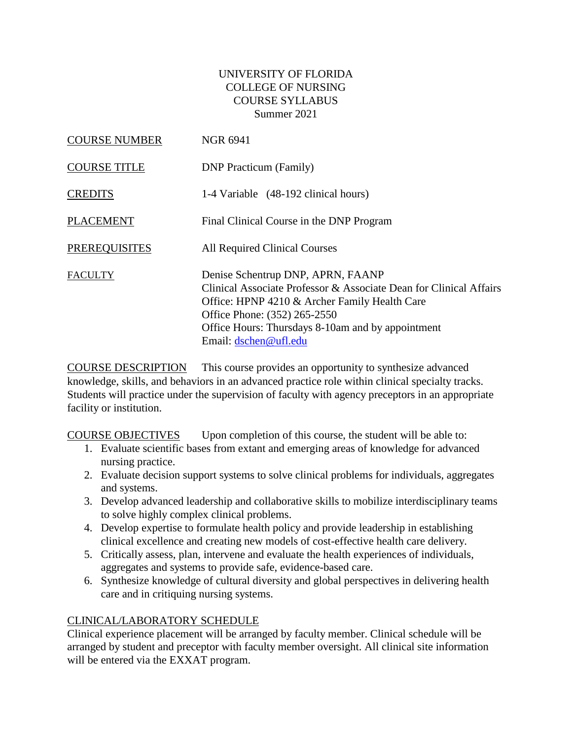## UNIVERSITY OF FLORIDA COLLEGE OF NURSING COURSE SYLLABUS Summer 2021

| <b>COURSE NUMBER</b> | <b>NGR 6941</b>                                                                                                                                                                                                                                                        |
|----------------------|------------------------------------------------------------------------------------------------------------------------------------------------------------------------------------------------------------------------------------------------------------------------|
| <b>COURSE TITLE</b>  | <b>DNP</b> Practicum (Family)                                                                                                                                                                                                                                          |
| <b>CREDITS</b>       | 1-4 Variable (48-192 clinical hours)                                                                                                                                                                                                                                   |
| <b>PLACEMENT</b>     | Final Clinical Course in the DNP Program                                                                                                                                                                                                                               |
| <b>PREREQUISITES</b> | All Required Clinical Courses                                                                                                                                                                                                                                          |
| FACULTY              | Denise Schentrup DNP, APRN, FAANP<br>Clinical Associate Professor & Associate Dean for Clinical Affairs<br>Office: HPNP 4210 & Archer Family Health Care<br>Office Phone: (352) 265-2550<br>Office Hours: Thursdays 8-10am and by appointment<br>Email: dschen@ufl.edu |

COURSE DESCRIPTION This course provides an opportunity to synthesize advanced knowledge, skills, and behaviors in an advanced practice role within clinical specialty tracks. Students will practice under the supervision of faculty with agency preceptors in an appropriate facility or institution.

COURSE OBJECTIVES Upon completion of this course, the student will be able to:

- 1. Evaluate scientific bases from extant and emerging areas of knowledge for advanced nursing practice.
- 2. Evaluate decision support systems to solve clinical problems for individuals, aggregates and systems.
- 3. Develop advanced leadership and collaborative skills to mobilize interdisciplinary teams to solve highly complex clinical problems.
- 4. Develop expertise to formulate health policy and provide leadership in establishing clinical excellence and creating new models of cost-effective health care delivery.
- 5. Critically assess, plan, intervene and evaluate the health experiences of individuals, aggregates and systems to provide safe, evidence-based care.
- 6. Synthesize knowledge of cultural diversity and global perspectives in delivering health care and in critiquing nursing systems.

# CLINICAL/LABORATORY SCHEDULE

Clinical experience placement will be arranged by faculty member. Clinical schedule will be arranged by student and preceptor with faculty member oversight. All clinical site information will be entered via the EXXAT program.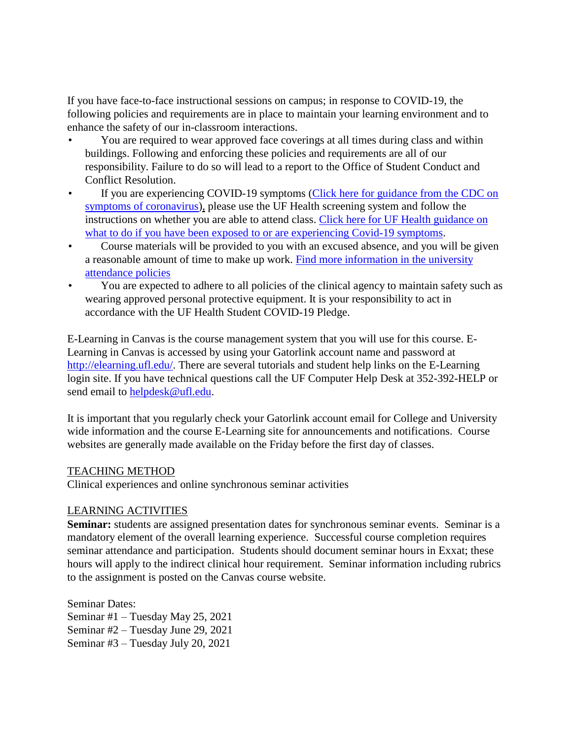If you have face-to-face instructional sessions on campus; in response to COVID-19, the following policies and requirements are in place to maintain your learning environment and to enhance the safety of our in-classroom interactions.

- You are required to wear approved face coverings at all times during class and within buildings. Following and enforcing these policies and requirements are all of our responsibility. Failure to do so will lead to a report to the Office of Student Conduct and Conflict Resolution.
- If you are experiencing COVID-19 symptoms (Click here for guidance from the CDC on [symptoms of coronavirus\)](https://www.cdc.gov/coronavirus/2019-ncov/symptoms-testing/symptoms.html), please use the UF Health screening system and follow the instructions on whether you are able to attend class. [Click here for UF Health guidance on](https://coronavirus.ufhealth.org/screen-test-protect/covid-19-exposure-and-symptoms-who-do-i-call-if/)  [what to do if you have been exposed to or are experiencing Covid-19 symptoms.](https://coronavirus.ufhealth.org/screen-test-protect/covid-19-exposure-and-symptoms-who-do-i-call-if/)
- Course materials will be provided to you with an excused absence, and you will be given a reasonable amount of time to make up work. [Find more information in the university](https://catalog.ufl.edu/UGRD/academic-regulations/attendance-policies/)  [attendance policies](https://catalog.ufl.edu/UGRD/academic-regulations/attendance-policies/)
- You are expected to adhere to all policies of the clinical agency to maintain safety such as wearing approved personal protective equipment. It is your responsibility to act in accordance with the UF Health Student COVID-19 Pledge.

E-Learning in Canvas is the course management system that you will use for this course. E-Learning in Canvas is accessed by using your Gatorlink account name and password at [http://elearning.ufl.edu/.](http://elearning.ufl.edu/) There are several tutorials and student help links on the E-Learning login site. If you have technical questions call the UF Computer Help Desk at 352-392-HELP or send email to [helpdesk@ufl.edu.](mailto:helpdesk@ufl.edu)

It is important that you regularly check your Gatorlink account email for College and University wide information and the course E-Learning site for announcements and notifications. Course websites are generally made available on the Friday before the first day of classes.

## TEACHING METHOD

Clinical experiences and online synchronous seminar activities

## LEARNING ACTIVITIES

**Seminar:** students are assigned presentation dates for synchronous seminar events. Seminar is a mandatory element of the overall learning experience. Successful course completion requires seminar attendance and participation. Students should document seminar hours in Exxat; these hours will apply to the indirect clinical hour requirement. Seminar information including rubrics to the assignment is posted on the Canvas course website.

Seminar Dates: Seminar #1 – Tuesday May 25, 2021 Seminar #2 – Tuesday June 29, 2021 Seminar #3 – Tuesday July 20, 2021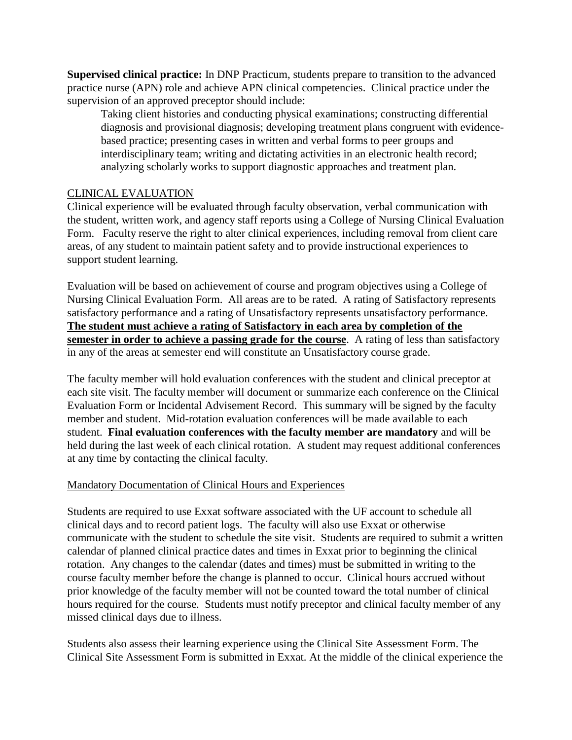**Supervised clinical practice:** In DNP Practicum, students prepare to transition to the advanced practice nurse (APN) role and achieve APN clinical competencies. Clinical practice under the supervision of an approved preceptor should include:

Taking client histories and conducting physical examinations; constructing differential diagnosis and provisional diagnosis; developing treatment plans congruent with evidencebased practice; presenting cases in written and verbal forms to peer groups and interdisciplinary team; writing and dictating activities in an electronic health record; analyzing scholarly works to support diagnostic approaches and treatment plan.

## CLINICAL EVALUATION

Clinical experience will be evaluated through faculty observation, verbal communication with the student, written work, and agency staff reports using a College of Nursing Clinical Evaluation Form. Faculty reserve the right to alter clinical experiences, including removal from client care areas, of any student to maintain patient safety and to provide instructional experiences to support student learning.

Evaluation will be based on achievement of course and program objectives using a College of Nursing Clinical Evaluation Form. All areas are to be rated. A rating of Satisfactory represents satisfactory performance and a rating of Unsatisfactory represents unsatisfactory performance. **The student must achieve a rating of Satisfactory in each area by completion of the semester in order to achieve a passing grade for the course**. A rating of less than satisfactory in any of the areas at semester end will constitute an Unsatisfactory course grade.

The faculty member will hold evaluation conferences with the student and clinical preceptor at each site visit. The faculty member will document or summarize each conference on the Clinical Evaluation Form or Incidental Advisement Record. This summary will be signed by the faculty member and student. Mid-rotation evaluation conferences will be made available to each student. **Final evaluation conferences with the faculty member are mandatory** and will be held during the last week of each clinical rotation. A student may request additional conferences at any time by contacting the clinical faculty.

## Mandatory Documentation of Clinical Hours and Experiences

Students are required to use Exxat software associated with the UF account to schedule all clinical days and to record patient logs. The faculty will also use Exxat or otherwise communicate with the student to schedule the site visit. Students are required to submit a written calendar of planned clinical practice dates and times in Exxat prior to beginning the clinical rotation. Any changes to the calendar (dates and times) must be submitted in writing to the course faculty member before the change is planned to occur. Clinical hours accrued without prior knowledge of the faculty member will not be counted toward the total number of clinical hours required for the course. Students must notify preceptor and clinical faculty member of any missed clinical days due to illness.

Students also assess their learning experience using the Clinical Site Assessment Form. The Clinical Site Assessment Form is submitted in Exxat. At the middle of the clinical experience the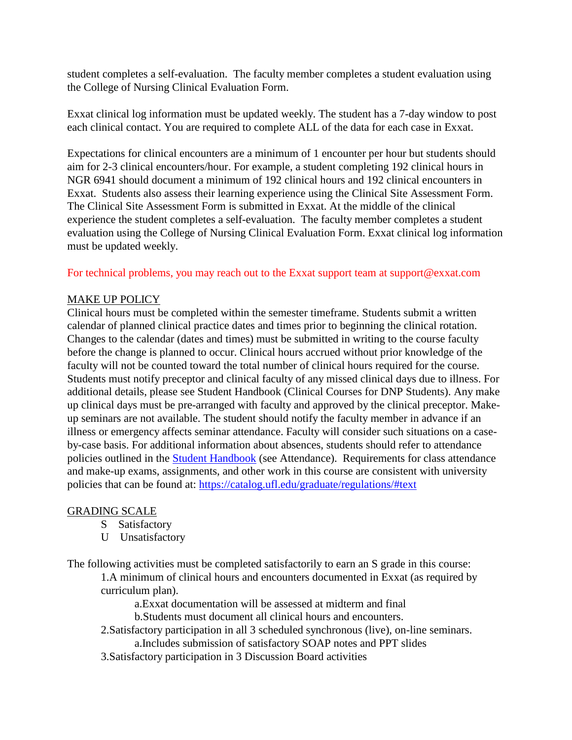student completes a self-evaluation. The faculty member completes a student evaluation using the College of Nursing Clinical Evaluation Form.

Exxat clinical log information must be updated weekly. The student has a 7-day window to post each clinical contact. You are required to complete ALL of the data for each case in Exxat.

Expectations for clinical encounters are a minimum of 1 encounter per hour but students should aim for 2-3 clinical encounters/hour. For example, a student completing 192 clinical hours in NGR 6941 should document a minimum of 192 clinical hours and 192 clinical encounters in Exxat. Students also assess their learning experience using the Clinical Site Assessment Form. The Clinical Site Assessment Form is submitted in Exxat. At the middle of the clinical experience the student completes a self-evaluation. The faculty member completes a student evaluation using the College of Nursing Clinical Evaluation Form. Exxat clinical log information must be updated weekly.

For technical problems, you may reach out to the Exxat support team at support@exxat.com

#### MAKE UP POLICY

Clinical hours must be completed within the semester timeframe. Students submit a written calendar of planned clinical practice dates and times prior to beginning the clinical rotation. Changes to the calendar (dates and times) must be submitted in writing to the course faculty before the change is planned to occur. Clinical hours accrued without prior knowledge of the faculty will not be counted toward the total number of clinical hours required for the course. Students must notify preceptor and clinical faculty of any missed clinical days due to illness. For additional details, please see Student Handbook (Clinical Courses for DNP Students). Any make up clinical days must be pre-arranged with faculty and approved by the clinical preceptor. Makeup seminars are not available. The student should notify the faculty member in advance if an illness or emergency affects seminar attendance. Faculty will consider such situations on a caseby-case basis. For additional information about absences, students should refer to attendance policies outlined in the [Student Handbook](https://nursing.ufl.edu/wordpress/files/2019/08/2019-Student-Handbook.pdf) (see Attendance). Requirements for class attendance and make-up exams, assignments, and other work in this course are consistent with university policies that can be found at: [https://catalog.ufl.edu/graduate/regulations/#text](https://catalog.ufl.edu/graduate/regulations/%23text)

#### GRADING SCALE

- S Satisfactory
- U Unsatisfactory

The following activities must be completed satisfactorily to earn an S grade in this course:

1.A minimum of clinical hours and encounters documented in Exxat (as required by curriculum plan).

a.Exxat documentation will be assessed at midterm and final

b.Students must document all clinical hours and encounters.

2.Satisfactory participation in all 3 scheduled synchronous (live), on-line seminars. a.Includes submission of satisfactory SOAP notes and PPT slides

3.Satisfactory participation in 3 Discussion Board activities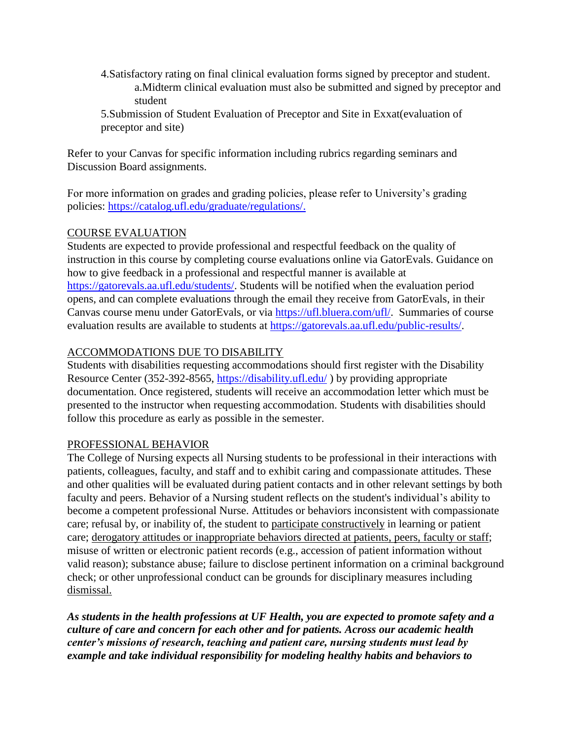- 4.Satisfactory rating on final clinical evaluation forms signed by preceptor and student. a.Midterm clinical evaluation must also be submitted and signed by preceptor and student
- 5.Submission of Student Evaluation of Preceptor and Site in Exxat(evaluation of preceptor and site)

Refer to your Canvas for specific information including rubrics regarding seminars and Discussion Board assignments.

For more information on grades and grading policies, please refer to University's grading policies: [https://catalog.ufl.edu/graduate/regulations/.](https://catalog.ufl.edu/graduate/regulations/)

## COURSE EVALUATION

Students are expected to provide professional and respectful feedback on the quality of instruction in this course by completing course evaluations online via GatorEvals. Guidance on how to give feedback in a professional and respectful manner is available at [https://gatorevals.aa.ufl.edu/students/.](https://gatorevals.aa.ufl.edu/students/) Students will be notified when the evaluation period opens, and can complete evaluations through the email they receive from GatorEvals, in their Canvas course menu under GatorEvals, or via [https://ufl.bluera.com/ufl/.](https://ufl.bluera.com/ufl/) Summaries of course evaluation results are available to students at [https://gatorevals.aa.ufl.edu/public-results/.](https://gatorevals.aa.ufl.edu/public-results/)

# ACCOMMODATIONS DUE TO DISABILITY

Students with disabilities requesting accommodations should first register with the Disability Resource Center (352-392-8565,<https://disability.ufl.edu/> ) by providing appropriate documentation. Once registered, students will receive an accommodation letter which must be presented to the instructor when requesting accommodation. Students with disabilities should follow this procedure as early as possible in the semester.

# PROFESSIONAL BEHAVIOR

The College of Nursing expects all Nursing students to be professional in their interactions with patients, colleagues, faculty, and staff and to exhibit caring and compassionate attitudes. These and other qualities will be evaluated during patient contacts and in other relevant settings by both faculty and peers. Behavior of a Nursing student reflects on the student's individual's ability to become a competent professional Nurse. Attitudes or behaviors inconsistent with compassionate care; refusal by, or inability of, the student to participate constructively in learning or patient care; derogatory attitudes or inappropriate behaviors directed at patients, peers, faculty or staff; misuse of written or electronic patient records (e.g., accession of patient information without valid reason); substance abuse; failure to disclose pertinent information on a criminal background check; or other unprofessional conduct can be grounds for disciplinary measures including dismissal.

*As students in the health professions at UF Health, you are expected to promote safety and a culture of care and concern for each other and for patients. Across our academic health center's missions of research, teaching and patient care, nursing students must lead by example and take individual responsibility for modeling healthy habits and behaviors to*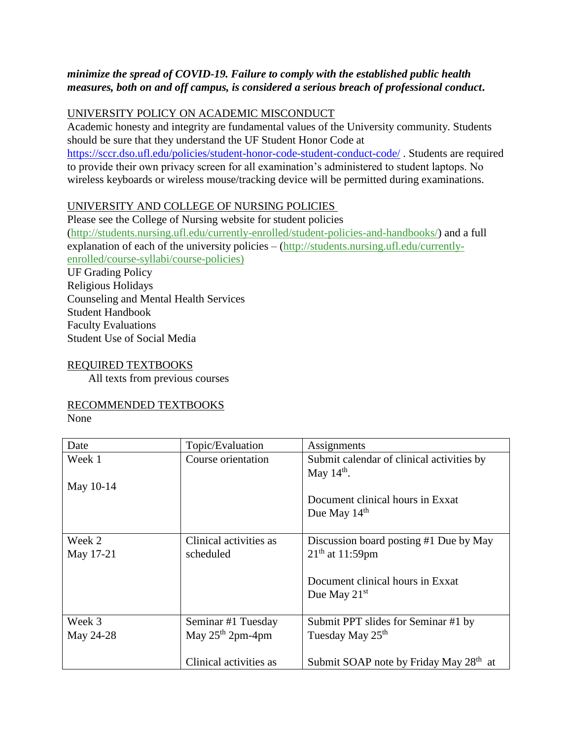## *minimize the spread of COVID-19. Failure to comply with the established public health measures, both on and off campus, is considered a serious breach of professional conduct***.**

## UNIVERSITY POLICY ON ACADEMIC MISCONDUCT

Academic honesty and integrity are fundamental values of the University community. Students should be sure that they understand the UF Student Honor Code at <https://sccr.dso.ufl.edu/policies/student-honor-code-student-conduct-code/> . Students are required to provide their own privacy screen for all examination's administered to student laptops. No wireless keyboards or wireless mouse/tracking device will be permitted during examinations.

## UNIVERSITY AND COLLEGE OF NURSING POLICIES

Please see the College of Nursing website for student policies [\(http://students.nursing.ufl.edu/currently-enrolled/student-policies-and-handbooks/\)](http://students.nursing.ufl.edu/currently-enrolled/student-policies-and-handbooks/) and a full explanation of each of the university policies – [\(http://students.nursing.ufl.edu/currently](http://students.nursing.ufl.edu/currently-enrolled/course-syllabi/course-policies)[enrolled/course-syllabi/course-policies\)](http://students.nursing.ufl.edu/currently-enrolled/course-syllabi/course-policies)

UF Grading Policy Religious Holidays Counseling and Mental Health Services Student Handbook Faculty Evaluations Student Use of Social Media

## REQUIRED TEXTBOOKS

All texts from previous courses

## RECOMMENDED TEXTBOOKS

None

| Date      | Topic/Evaluation       | Assignments                                        |  |
|-----------|------------------------|----------------------------------------------------|--|
| Week 1    | Course orientation     | Submit calendar of clinical activities by          |  |
|           |                        | May $14th$ .                                       |  |
| May 10-14 |                        |                                                    |  |
|           |                        | Document clinical hours in Exxat                   |  |
|           |                        | Due May 14 <sup>th</sup>                           |  |
|           |                        |                                                    |  |
| Week 2    | Clinical activities as | Discussion board posting #1 Due by May             |  |
| May 17-21 | scheduled              | $21th$ at 11:59pm                                  |  |
|           |                        |                                                    |  |
|           |                        | Document clinical hours in Exxat                   |  |
|           |                        | Due May $21st$                                     |  |
|           |                        |                                                    |  |
| Week 3    | Seminar #1 Tuesday     | Submit PPT slides for Seminar #1 by                |  |
| May 24-28 | May $25th 2pm-4pm$     | Tuesday May 25 <sup>th</sup>                       |  |
|           |                        |                                                    |  |
|           | Clinical activities as | Submit SOAP note by Friday May 28 <sup>th</sup> at |  |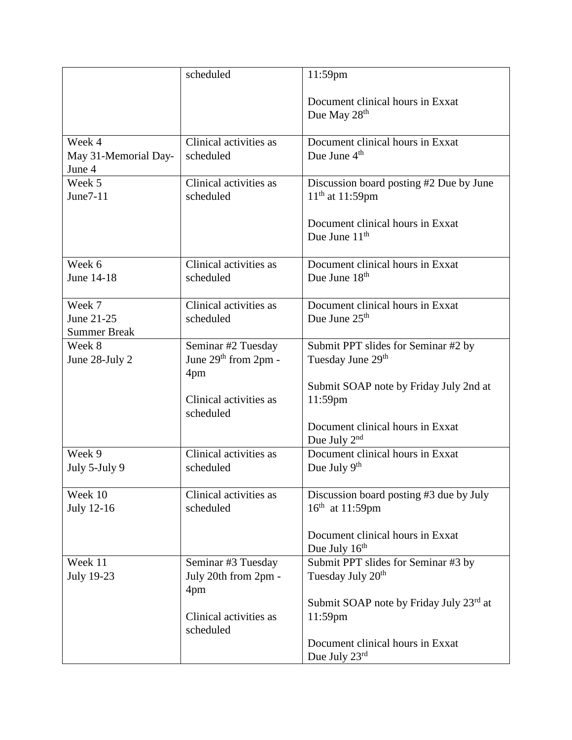|                                             | scheduled                                                                                  | 11:59pm                                                                                                          |
|---------------------------------------------|--------------------------------------------------------------------------------------------|------------------------------------------------------------------------------------------------------------------|
|                                             |                                                                                            | Document clinical hours in Exxat<br>Due May $28th$                                                               |
| Week 4<br>May 31-Memorial Day-<br>June 4    | Clinical activities as<br>scheduled                                                        | Document clinical hours in Exxat<br>Due June $4th$                                                               |
| Week 5<br>June7-11                          | Clinical activities as<br>scheduled                                                        | Discussion board posting #2 Due by June<br>$11^{th}$ at 11:59pm                                                  |
|                                             |                                                                                            | Document clinical hours in Exxat<br>Due June $11th$                                                              |
| Week 6<br>June 14-18                        | Clinical activities as<br>scheduled                                                        | Document clinical hours in Exxat<br>Due June 18 <sup>th</sup>                                                    |
| Week 7<br>June 21-25<br><b>Summer Break</b> | Clinical activities as<br>scheduled                                                        | Document clinical hours in Exxat<br>Due June $25th$                                                              |
| Week 8<br>June 28-July 2                    | Seminar #2 Tuesday<br>June $29th$ from 2pm -<br>4pm<br>Clinical activities as<br>scheduled | Submit PPT slides for Seminar #2 by<br>Tuesday June 29th<br>Submit SOAP note by Friday July 2nd at<br>$11:59$ pm |
|                                             |                                                                                            | Document clinical hours in Exxat<br>Due July $2^{nd}$                                                            |
| Week 9<br>July 5-July 9                     | Clinical activities as<br>scheduled                                                        | Document clinical hours in Exxat<br>Due July $9th$                                                               |
| Week 10<br>July 12-16                       | Clinical activities as<br>scheduled                                                        | Discussion board posting #3 due by July<br>$16^{th}$ at 11:59pm                                                  |
|                                             |                                                                                            | Document clinical hours in Exxat<br>Due July $16th$                                                              |
| Week 11<br><b>July 19-23</b>                | Seminar #3 Tuesday<br>July 20th from 2pm -<br>4pm                                          | Submit PPT slides for Seminar #3 by<br>Tuesday July 20 <sup>th</sup>                                             |
|                                             | Clinical activities as<br>scheduled                                                        | Submit SOAP note by Friday July 23rd at<br>11:59pm                                                               |
|                                             |                                                                                            | Document clinical hours in Exxat<br>Due July $23^{\text{rd}}$                                                    |